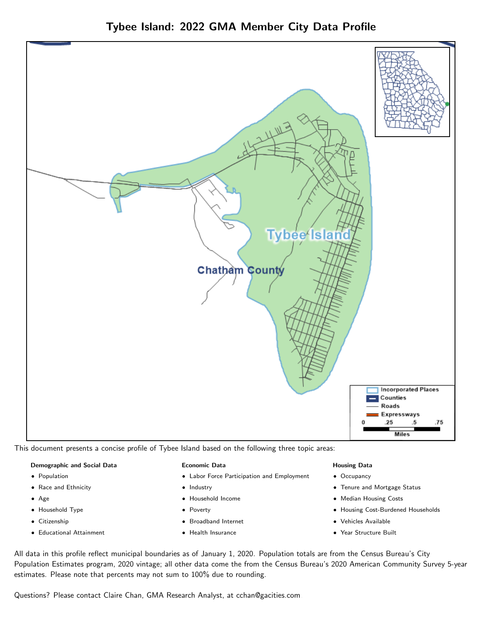

This document presents a concise profile of Tybee Island based on the following three topic areas:

# Demographic and Social Data

- **•** Population
- Race and Ethnicity
- Age
- Household Type
- **Citizenship**
- Educational Attainment

### Economic Data

- Labor Force Participation and Employment
- Industry
- Household Income
- Poverty
- Broadband Internet
- Health Insurance

#### Housing Data

- Occupancy
- Tenure and Mortgage Status
- Median Housing Costs
- Housing Cost-Burdened Households
- Vehicles Available
- Year Structure Built

All data in this profile reflect municipal boundaries as of January 1, 2020. Population totals are from the Census Bureau's City Population Estimates program, 2020 vintage; all other data come the from the Census Bureau's 2020 American Community Survey 5-year estimates. Please note that percents may not sum to 100% due to rounding.

Questions? Please contact Claire Chan, GMA Research Analyst, at [cchan@gacities.com.](mailto:cchan@gacities.com)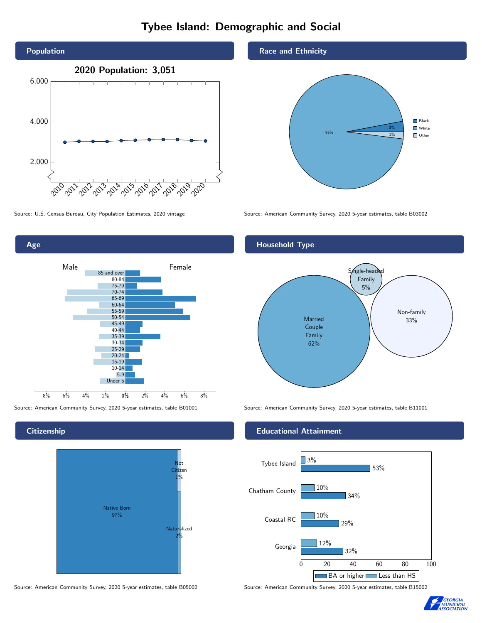# Tybee Island: Demographic and Social



0% 2% 4% 6% 8% Male **Female** 8% 6% 4% 2% 85 and over 80-84 75-79 70-74 65-69 60-64 55-59 50-54 45-49 40-44 35-39 30-34 25-29 20-24 15-19  $10-14$ 5-9 Under 5

**Citizenship** 

Age



Source: American Community Survey, 2020 5-year estimates, table B05002 Source: American Community Survey, 2020 5-year estimates, table B15002

# Race and Ethnicity



Source: U.S. Census Bureau, City Population Estimates, 2020 vintage Source: American Community Survey, 2020 5-year estimates, table B03002

# Household Type



Source: American Community Survey, 2020 5-year estimates, table B01001 Source: American Community Survey, 2020 5-year estimates, table B11001

## Educational Attainment



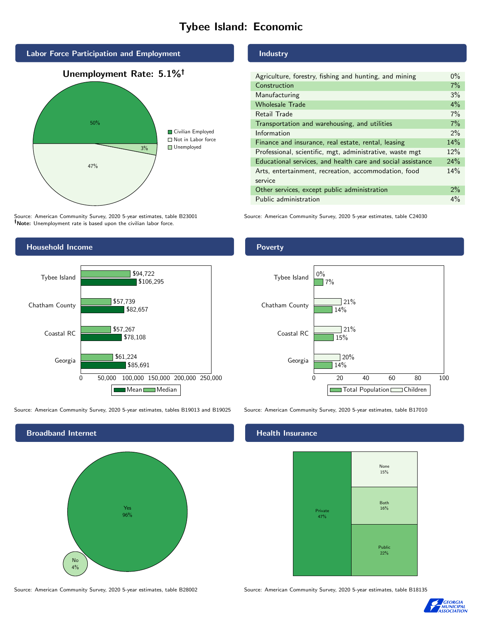# Tybee Island: Economic



Source: American Community Survey, 2020 5-year estimates, table B23001 Note: Unemployment rate is based upon the civilian labor force.

## Household Income



Source: American Community Survey, 2020 5-year estimates, tables B19013 and B19025 Source: American Community Survey, 2020 5-year estimates, table B17010



Source: American Community Survey, 2020 5-year estimates, table B28002 Source: American Community Survey, 2020 5-year estimates, table B18135

# Industry

| Agriculture, forestry, fishing and hunting, and mining      | $0\%$ |
|-------------------------------------------------------------|-------|
| Construction                                                | 7%    |
| Manufacturing                                               | 3%    |
| <b>Wholesale Trade</b>                                      | 4%    |
| Retail Trade                                                | 7%    |
| Transportation and warehousing, and utilities               | 7%    |
| Information                                                 | $2\%$ |
| Finance and insurance, real estate, rental, leasing         | 14%   |
| Professional, scientific, mgt, administrative, waste mgt    | 12%   |
| Educational services, and health care and social assistance | 24%   |
| Arts, entertainment, recreation, accommodation, food        | 14%   |
| service                                                     |       |
| Other services, except public administration                | $2\%$ |
| Public administration                                       | 4%    |

Source: American Community Survey, 2020 5-year estimates, table C24030

## **Poverty**



#### Health Insurance